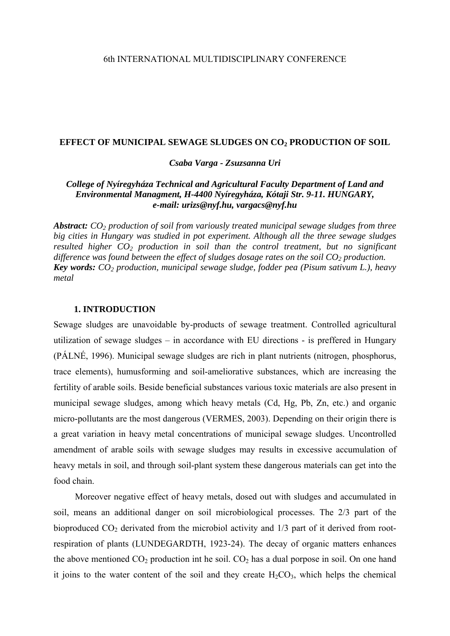### **EFFECT OF MUNICIPAL SEWAGE SLUDGES ON CO2 PRODUCTION OF SOIL**

*Csaba Varga - Zsuzsanna Uri* 

# *College of Nyíregyháza Technical and Agricultural Faculty Department of Land and Environmental Managment, H-4400 Nyíregyháza, Kótaji Str. 9-11. HUNGARY, e-mail: [urizs@nyf.hu,](mailto:urizs@nyf.hu) vargacs@nyf.hu*

*Abstract: CO2 production of soil from variously treated municipal sewage sludges from three big cities in Hungary was studied in pot experiment. Although all the three sewage sludges resulted higher CO2 production in soil than the control treatment, but no significant*  difference was found between the effect of sludges dosage rates on the soil CO<sub>2</sub> production. *Key words: CO2 production, municipal sewage sludge, fodder pea (Pisum sativum L.), heavy metal* 

### **1. INTRODUCTION**

Sewage sludges are unavoidable by-products of sewage treatment. Controlled agricultural utilization of sewage sludges – in accordance with EU directions - is preffered in Hungary (PÁLNÉ, 1996). Municipal sewage sludges are rich in plant nutrients (nitrogen, phosphorus, trace elements), humusforming and soil-ameliorative substances, which are increasing the fertility of arable soils. Beside beneficial substances various toxic materials are also present in municipal sewage sludges, among which heavy metals (Cd, Hg, Pb, Zn, etc.) and organic micro-pollutants are the most dangerous (VERMES, 2003). Depending on their origin there is a great variation in heavy metal concentrations of municipal sewage sludges. Uncontrolled amendment of arable soils with sewage sludges may results in excessive accumulation of heavy metals in soil, and through soil-plant system these dangerous materials can get into the food chain.

Moreover negative effect of heavy metals, dosed out with sludges and accumulated in soil, means an additional danger on soil microbiological processes. The 2/3 part of the bioproduced  $CO<sub>2</sub>$  derivated from the microbiol activity and  $1/3$  part of it derived from rootrespiration of plants (LUNDEGARDTH, 1923-24). The decay of organic matters enhances the above mentioned  $CO<sub>2</sub>$  production int he soil.  $CO<sub>2</sub>$  has a dual porpose in soil. On one hand it joins to the water content of the soil and they create  $H_2CO_3$ , which helps the chemical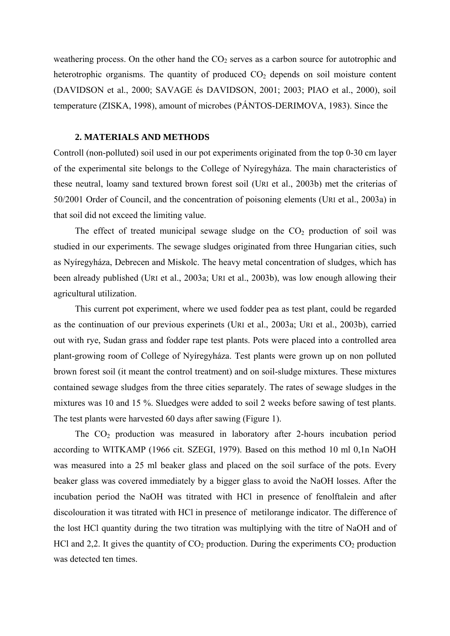weathering process. On the other hand the  $CO<sub>2</sub>$  serves as a carbon source for autotrophic and heterotrophic organisms. The quantity of produced  $CO<sub>2</sub>$  depends on soil moisture content (DAVIDSON et al., 2000; SAVAGE és DAVIDSON, 2001; 2003; PIAO et al., 2000), soil temperature (ZISKA, 1998), amount of microbes (PÁNTOS-DERIMOVA, 1983). Since the

## **2. MATERIALS AND METHODS**

Controll (non-polluted) soil used in our pot experiments originated from the top 0-30 cm layer of the experimental site belongs to the College of Nyíregyháza. The main characteristics of these neutral, loamy sand textured brown forest soil (URI et al., 2003b) met the criterias of 50/2001 Order of Council, and the concentration of poisoning elements (URI et al., 2003a) in that soil did not exceed the limiting value.

The effect of treated municipal sewage sludge on the  $CO<sub>2</sub>$  production of soil was studied in our experiments. The sewage sludges originated from three Hungarian cities, such as Nyíregyháza, Debrecen and Miskolc. The heavy metal concentration of sludges, which has been already published (URI et al., 2003a; URI et al., 2003b), was low enough allowing their agricultural utilization.

This current pot experiment, where we used fodder pea as test plant, could be regarded as the continuation of our previous experinets (URI et al., 2003a; URI et al., 2003b), carried out with rye, Sudan grass and fodder rape test plants. Pots were placed into a controlled area plant-growing room of College of Nyíregyháza. Test plants were grown up on non polluted brown forest soil (it meant the control treatment) and on soil-sludge mixtures. These mixtures contained sewage sludges from the three cities separately. The rates of sewage sludges in the mixtures was 10 and 15 %. Sluedges were added to soil 2 weeks before sawing of test plants. The test plants were harvested 60 days after sawing (Figure 1).

The  $CO<sub>2</sub>$  production was measured in laboratory after 2-hours incubation period according to WITKAMP (1966 cit. SZEGI, 1979). Based on this method 10 ml 0,1n NaOH was measured into a 25 ml beaker glass and placed on the soil surface of the pots. Every beaker glass was covered immediately by a bigger glass to avoid the NaOH losses. After the incubation period the NaOH was titrated with HCl in presence of fenolftalein and after discolouration it was titrated with HCl in presence of metilorange indicator. The difference of the lost HCl quantity during the two titration was multiplying with the titre of NaOH and of HCl and 2,2. It gives the quantity of  $CO<sub>2</sub>$  production. During the experiments  $CO<sub>2</sub>$  production was detected ten times.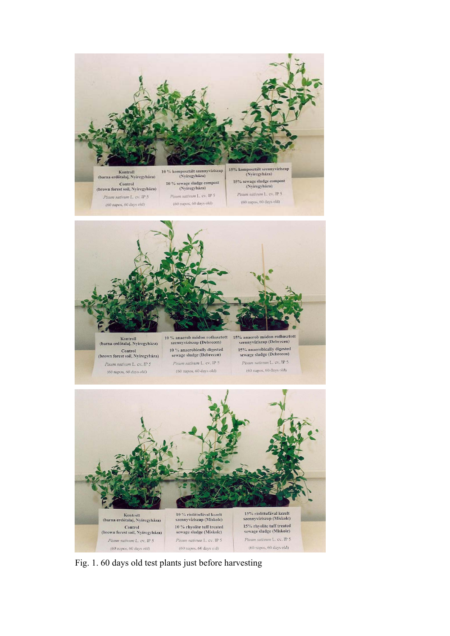



Kontroll<br>(barna erdőtalaj, Nyíregyháza) Control<br>(brown forest soil, Nyíregyháza) Pisum sativum L. cv. IP 5  $(60$  napos,  $60$  days old)

szennyvíziszap (Debrecen) 10 % anaerobically digested sewage sludge (Debrecen) Pisum sativum L. cv. IP 5  $(60$  napos,  $60$  days old)

15% anaerob módon rothasztott<br>szennyviziszap (Debrecen) 15% anaerobically digested<br>sewage sludge (Debrecen) Pisum sativum L. cv. IP 5 (60 napos, 60 days old)



Fig. 1. 60 days old test plants just before harvesting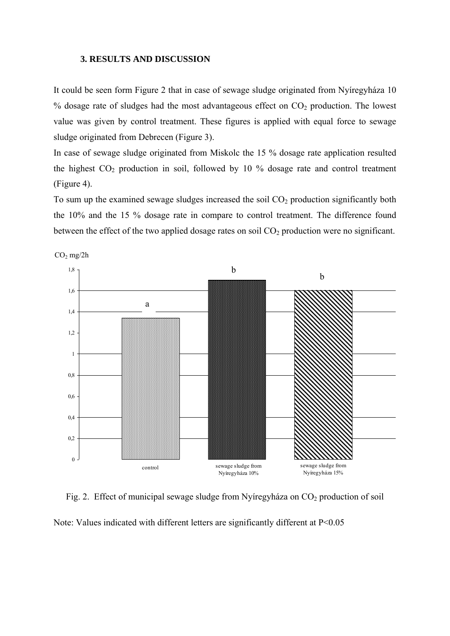### **3. RESULTS AND DISCUSSION**

It could be seen form Figure 2 that in case of sewage sludge originated from Nyíregyháza 10  $%$  dosage rate of sludges had the most advantageous effect on  $CO<sub>2</sub>$  production. The lowest value was given by control treatment. These figures is applied with equal force to sewage sludge originated from Debrecen (Figure 3).

In case of sewage sludge originated from Miskolc the 15 % dosage rate application resulted the highest  $CO<sub>2</sub>$  production in soil, followed by 10 % dosage rate and control treatment (Figure 4).

To sum up the examined sewage sludges increased the soil  $CO<sub>2</sub>$  production significantly both the 10% and the 15 % dosage rate in compare to control treatment. The difference found between the effect of the two applied dosage rates on soil  $CO<sub>2</sub>$  production were no significant.



 $CO<sub>2</sub>$  mg/2h

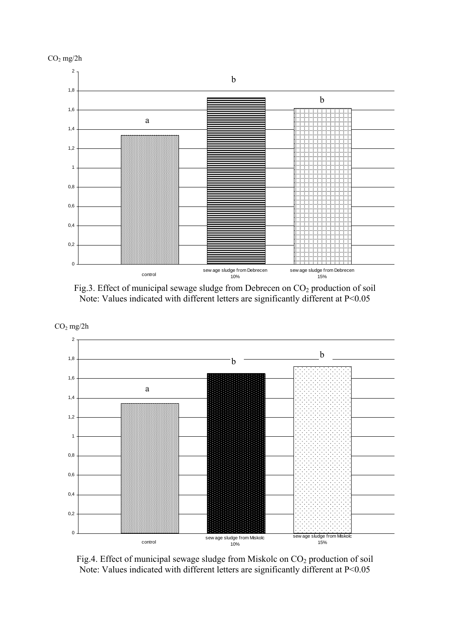



Fig.3. Effect of municipal sewage sludge from Debrecen on CO<sub>2</sub> production of soil Note: Values indicated with different letters are significantly different at P<0.05



Fig.4. Effect of municipal sewage sludge from Miskolc on CO<sub>2</sub> production of soil Note: Values indicated with different letters are significantly different at P<0.05